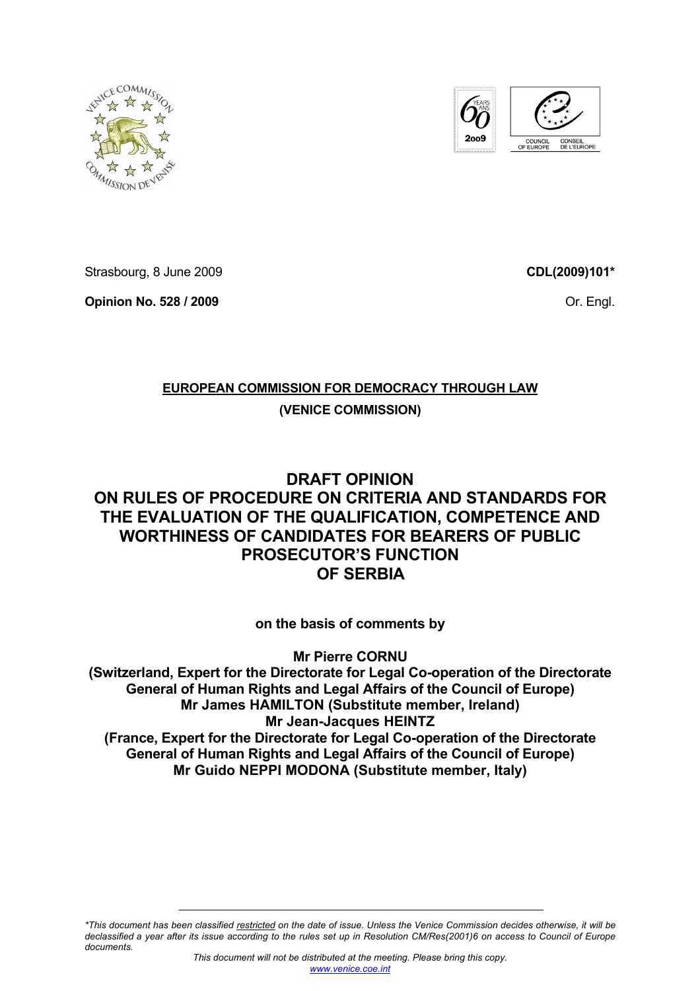



Strasbourg, 8 June 2009

**Opinion No. 528 / 2009** 

**CDL(2009)101\***

Or. Engl.

# **EUROPEAN COMMISSION FOR DEMOCRACY THROUGH LAW**

# **(VENICE COMMISSION)**

# **DRAFT OPINION ON RULES OF PROCEDURE ON CRITERIA AND STANDARDS FOR THE EVALUATION OF THE QUALIFICATION, COMPETENCE AND WORTHINESS OF CANDIDATES FOR BEARERS OF PUBLIC PROSECUTOR'S FUNCTION OF SERBIA**

# **on the basis of comments by**

**Mr Pierre CORNU (Switzerland, Expert for the Directorate for Legal Co-operation of the Directorate General of Human Rights and Legal Affairs of the Council of Europe) Mr James HAMILTON (Substitute member, Ireland) Mr Jean-Jacques HEINTZ (France, Expert for the Directorate for Legal Co-operation of the Directorate General of Human Rights and Legal Affairs of the Council of Europe) Mr Guido NEPPI MODONA (Substitute member, Italy)** 

*\*This document has been classified restricted on the date of issue. Unless the Venice Commission decides otherwise, it will be declassified a year after its issue according to the rules set up in Resolution CM/Res(2001)6 on access to Council of Europe documents.*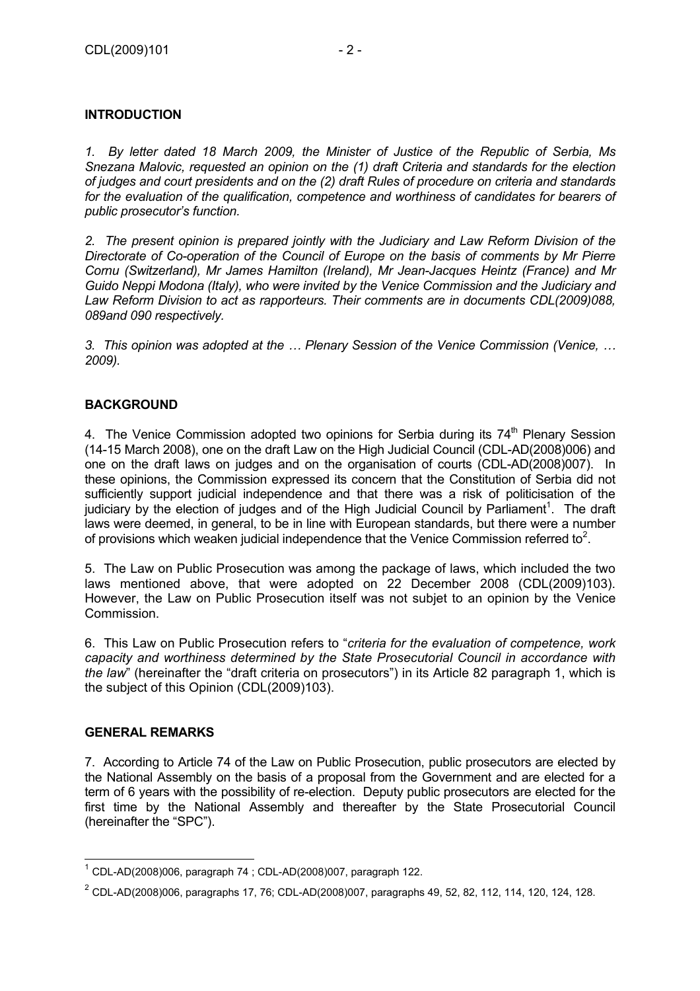# **INTRODUCTION**

*1. By letter dated 18 March 2009, the Minister of Justice of the Republic of Serbia, Ms Snezana Malovic, requested an opinion on the (1) draft Criteria and standards for the election of judges and court presidents and on the (2) draft Rules of procedure on criteria and standards*  for the evaluation of the qualification, competence and worthiness of candidates for bearers of *public prosecutor's function.* 

*2. The present opinion is prepared jointly with the Judiciary and Law Reform Division of the Directorate of Co-operation of the Council of Europe on the basis of comments by Mr Pierre Cornu (Switzerland), Mr James Hamilton (Ireland), Mr Jean-Jacques Heintz (France) and Mr Guido Neppi Modona (Italy), who were invited by the Venice Commission and the Judiciary and Law Reform Division to act as rapporteurs. Their comments are in documents CDL(2009)088, 089and 090 respectively.* 

*3. This opinion was adopted at the … Plenary Session of the Venice Commission (Venice, … 2009).* 

# **BACKGROUND**

4. The Venice Commission adopted two opinions for Serbia during its  $74<sup>th</sup>$  Plenary Session (14-15 March 2008), one on the draft Law on the High Judicial Council (CDL-AD(2008)006) and one on the draft laws on judges and on the organisation of courts (CDL-AD(2008)007). In these opinions, the Commission expressed its concern that the Constitution of Serbia did not sufficiently support judicial independence and that there was a risk of politicisation of the judiciary by the election of judges and of the High Judicial Council by Parliament<sup>1</sup>. The draft laws were deemed, in general, to be in line with European standards, but there were a number of provisions which weaken judicial independence that the Venice Commission referred to<sup>2</sup>.

5. The Law on Public Prosecution was among the package of laws, which included the two laws mentioned above, that were adopted on 22 December 2008 (CDL(2009)103). However, the Law on Public Prosecution itself was not subjet to an opinion by the Venice Commission.

6. This Law on Public Prosecution refers to "*criteria for the evaluation of competence, work capacity and worthiness determined by the State Prosecutorial Council in accordance with the law*" (hereinafter the "draft criteria on prosecutors") in its Article 82 paragraph 1, which is the subject of this Opinion (CDL(2009)103).

# **GENERAL REMARKS**

7. According to Article 74 of the Law on Public Prosecution, public prosecutors are elected by the National Assembly on the basis of a proposal from the Government and are elected for a term of 6 years with the possibility of re-election. Deputy public prosecutors are elected for the first time by the National Assembly and thereafter by the State Prosecutorial Council (hereinafter the "SPC").

 $1$  CDL-AD(2008)006, paragraph 74 ; CDL-AD(2008)007, paragraph 122.

 $2$  CDL-AD(2008)006, paragraphs 17, 76; CDL-AD(2008)007, paragraphs 49, 52, 82, 112, 114, 120, 124, 128.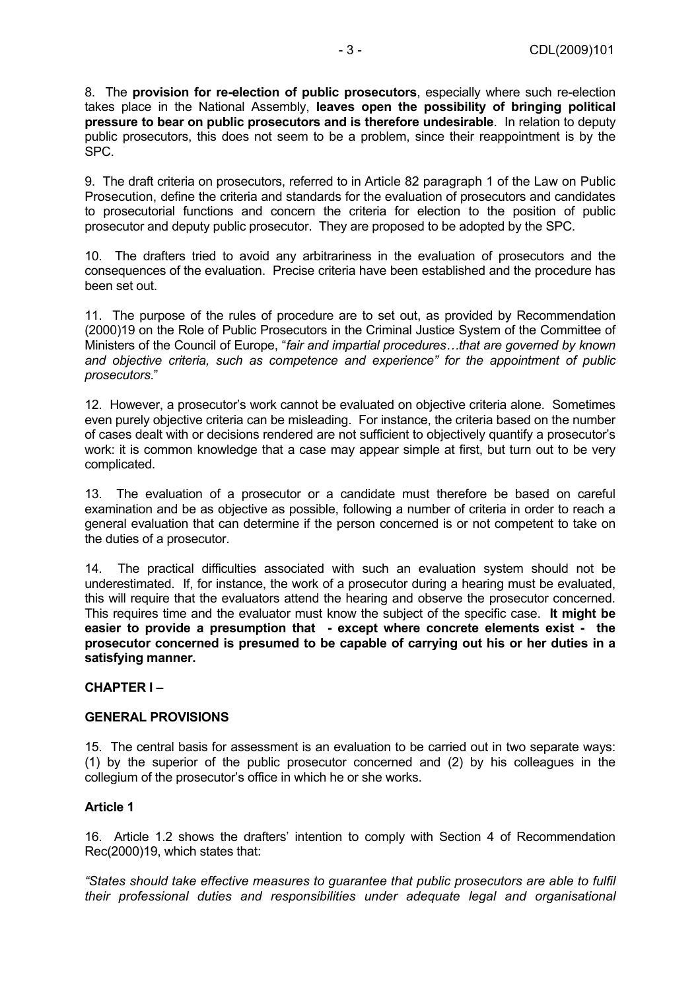8. The **provision for re-election of public prosecutors**, especially where such re-election takes place in the National Assembly, **leaves open the possibility of bringing political pressure to bear on public prosecutors and is therefore undesirable**. In relation to deputy public prosecutors, this does not seem to be a problem, since their reappointment is by the SPC.

9. The draft criteria on prosecutors, referred to in Article 82 paragraph 1 of the Law on Public Prosecution, define the criteria and standards for the evaluation of prosecutors and candidates to prosecutorial functions and concern the criteria for election to the position of public prosecutor and deputy public prosecutor. They are proposed to be adopted by the SPC.

10. The drafters tried to avoid any arbitrariness in the evaluation of prosecutors and the consequences of the evaluation. Precise criteria have been established and the procedure has been set out.

11. The purpose of the rules of procedure are to set out, as provided by Recommendation (2000)19 on the Role of Public Prosecutors in the Criminal Justice System of the Committee of Ministers of the Council of Europe, "*fair and impartial procedures…that are governed by known and objective criteria, such as competence and experience" for the appointment of public prosecutors*."

12. However, a prosecutor's work cannot be evaluated on objective criteria alone. Sometimes even purely objective criteria can be misleading. For instance, the criteria based on the number of cases dealt with or decisions rendered are not sufficient to objectively quantify a prosecutor's work: it is common knowledge that a case may appear simple at first, but turn out to be very complicated.

13. The evaluation of a prosecutor or a candidate must therefore be based on careful examination and be as objective as possible, following a number of criteria in order to reach a general evaluation that can determine if the person concerned is or not competent to take on the duties of a prosecutor.

14. The practical difficulties associated with such an evaluation system should not be underestimated. If, for instance, the work of a prosecutor during a hearing must be evaluated, this will require that the evaluators attend the hearing and observe the prosecutor concerned. This requires time and the evaluator must know the subject of the specific case. **It might be easier to provide a presumption that - except where concrete elements exist - the prosecutor concerned is presumed to be capable of carrying out his or her duties in a satisfying manner.**

# **CHAPTER I –**

#### **GENERAL PROVISIONS**

15. The central basis for assessment is an evaluation to be carried out in two separate ways: (1) by the superior of the public prosecutor concerned and (2) by his colleagues in the collegium of the prosecutor's office in which he or she works.

# **Article 1**

16. Article 1.2 shows the drafters' intention to comply with Section 4 of Recommendation Rec(2000)19, which states that:

*"States should take effective measures to guarantee that public prosecutors are able to fulfil their professional duties and responsibilities under adequate legal and organisational*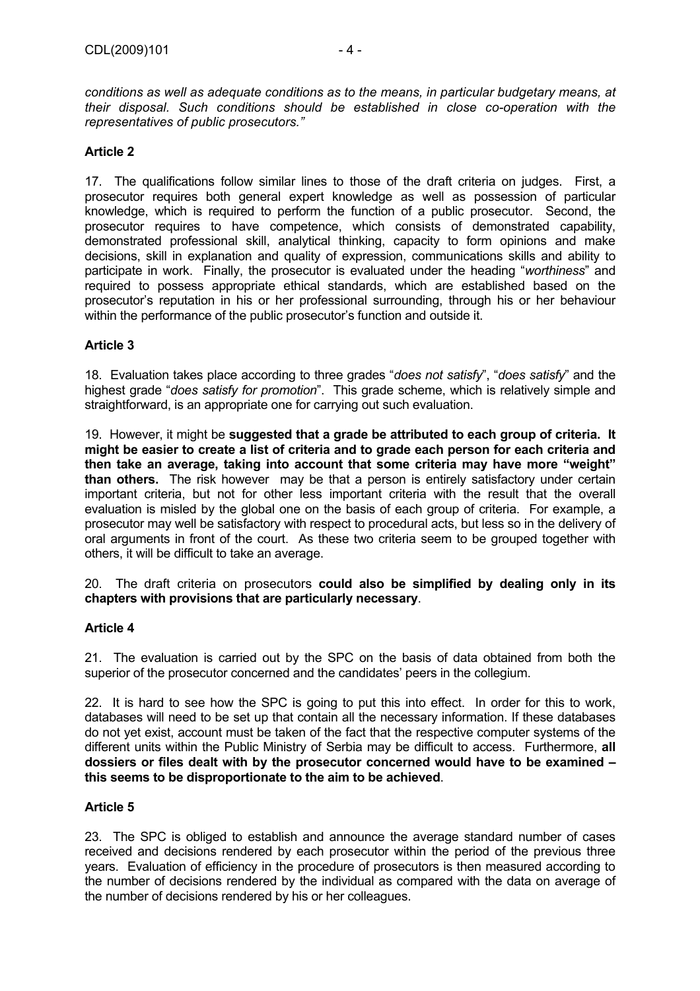*representatives of public prosecutors."*

# **Article 2**

17. The qualifications follow similar lines to those of the draft criteria on judges. First, a prosecutor requires both general expert knowledge as well as possession of particular knowledge, which is required to perform the function of a public prosecutor. Second, the prosecutor requires to have competence, which consists of demonstrated capability, demonstrated professional skill, analytical thinking, capacity to form opinions and make decisions, skill in explanation and quality of expression, communications skills and ability to participate in work. Finally, the prosecutor is evaluated under the heading "*worthiness*" and required to possess appropriate ethical standards, which are established based on the prosecutor's reputation in his or her professional surrounding, through his or her behaviour within the performance of the public prosecutor's function and outside it.

# **Article 3**

18. Evaluation takes place according to three grades "*does not satisfy*", "*does satisfy*" and the highest grade "*does satisfy for promotion*". This grade scheme, which is relatively simple and straightforward, is an appropriate one for carrying out such evaluation.

19. However, it might be **suggested that a grade be attributed to each group of criteria. It might be easier to create a list of criteria and to grade each person for each criteria and then take an average, taking into account that some criteria may have more "weight" than others.** The risk however may be that a person is entirely satisfactory under certain important criteria, but not for other less important criteria with the result that the overall evaluation is misled by the global one on the basis of each group of criteria. For example, a prosecutor may well be satisfactory with respect to procedural acts, but less so in the delivery of oral arguments in front of the court. As these two criteria seem to be grouped together with others, it will be difficult to take an average.

20. The draft criteria on prosecutors **could also be simplified by dealing only in its chapters with provisions that are particularly necessary**.

# **Article 4**

21. The evaluation is carried out by the SPC on the basis of data obtained from both the superior of the prosecutor concerned and the candidates' peers in the collegium.

22. It is hard to see how the SPC is going to put this into effect. In order for this to work, databases will need to be set up that contain all the necessary information. If these databases do not yet exist, account must be taken of the fact that the respective computer systems of the different units within the Public Ministry of Serbia may be difficult to access. Furthermore, **all dossiers or files dealt with by the prosecutor concerned would have to be examined – this seems to be disproportionate to the aim to be achieved**.

# **Article 5**

23. The SPC is obliged to establish and announce the average standard number of cases received and decisions rendered by each prosecutor within the period of the previous three years. Evaluation of efficiency in the procedure of prosecutors is then measured according to the number of decisions rendered by the individual as compared with the data on average of the number of decisions rendered by his or her colleagues.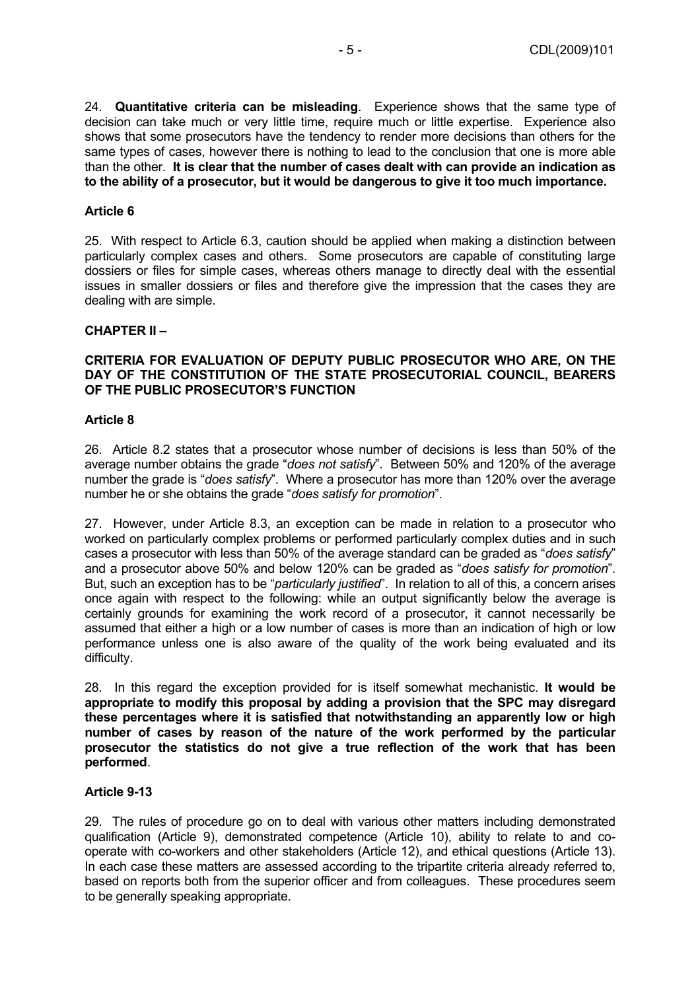24. **Quantitative criteria can be misleading**. Experience shows that the same type of decision can take much or very little time, require much or little expertise. Experience also shows that some prosecutors have the tendency to render more decisions than others for the same types of cases, however there is nothing to lead to the conclusion that one is more able than the other. **It is clear that the number of cases dealt with can provide an indication as to the ability of a prosecutor, but it would be dangerous to give it too much importance.**

#### **Article 6**

25. With respect to Article 6.3, caution should be applied when making a distinction between particularly complex cases and others. Some prosecutors are capable of constituting large dossiers or files for simple cases, whereas others manage to directly deal with the essential issues in smaller dossiers or files and therefore give the impression that the cases they are dealing with are simple.

#### **CHAPTER II –**

#### **CRITERIA FOR EVALUATION OF DEPUTY PUBLIC PROSECUTOR WHO ARE, ON THE DAY OF THE CONSTITUTION OF THE STATE PROSECUTORIAL COUNCIL, BEARERS OF THE PUBLIC PROSECUTOR'S FUNCTION**

#### **Article 8**

26. Article 8.2 states that a prosecutor whose number of decisions is less than 50% of the average number obtains the grade "*does not satisfy*". Between 50% and 120% of the average number the grade is "*does satisfy*". Where a prosecutor has more than 120% over the average number he or she obtains the grade "*does satisfy for promotion*".

27. However, under Article 8.3, an exception can be made in relation to a prosecutor who worked on particularly complex problems or performed particularly complex duties and in such cases a prosecutor with less than 50% of the average standard can be graded as "*does satisfy*" and a prosecutor above 50% and below 120% can be graded as "*does satisfy for promotion*". But, such an exception has to be "*particularly justified*". In relation to all of this, a concern arises once again with respect to the following: while an output significantly below the average is certainly grounds for examining the work record of a prosecutor, it cannot necessarily be assumed that either a high or a low number of cases is more than an indication of high or low performance unless one is also aware of the quality of the work being evaluated and its difficulty.

28. In this regard the exception provided for is itself somewhat mechanistic. **It would be appropriate to modify this proposal by adding a provision that the SPC may disregard these percentages where it is satisfied that notwithstanding an apparently low or high number of cases by reason of the nature of the work performed by the particular prosecutor the statistics do not give a true reflection of the work that has been performed**.

#### **Article 9-13**

29. The rules of procedure go on to deal with various other matters including demonstrated qualification (Article 9), demonstrated competence (Article 10), ability to relate to and cooperate with co-workers and other stakeholders (Article 12), and ethical questions (Article 13). In each case these matters are assessed according to the tripartite criteria already referred to, based on reports both from the superior officer and from colleagues. These procedures seem to be generally speaking appropriate.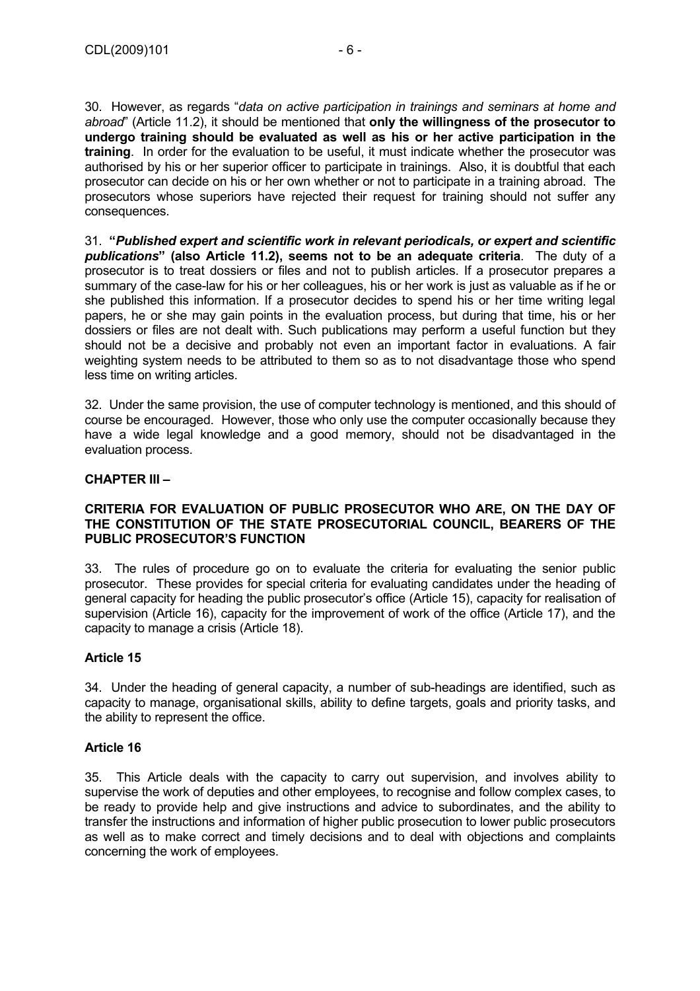30. However, as regards "*data on active participation in trainings and seminars at home and abroad*" (Article 11.2), it should be mentioned that **only the willingness of the prosecutor to undergo training should be evaluated as well as his or her active participation in the training**. In order for the evaluation to be useful, it must indicate whether the prosecutor was authorised by his or her superior officer to participate in trainings. Also, it is doubtful that each prosecutor can decide on his or her own whether or not to participate in a training abroad. The prosecutors whose superiors have rejected their request for training should not suffer any consequences.

31. **"***Published expert and scientific work in relevant periodicals, or expert and scientific publications***" (also Article 11.2), seems not to be an adequate criteria**. The duty of a prosecutor is to treat dossiers or files and not to publish articles. If a prosecutor prepares a summary of the case-law for his or her colleagues, his or her work is just as valuable as if he or she published this information. If a prosecutor decides to spend his or her time writing legal papers, he or she may gain points in the evaluation process, but during that time, his or her dossiers or files are not dealt with. Such publications may perform a useful function but they should not be a decisive and probably not even an important factor in evaluations. A fair weighting system needs to be attributed to them so as to not disadvantage those who spend less time on writing articles.

32. Under the same provision, the use of computer technology is mentioned, and this should of course be encouraged. However, those who only use the computer occasionally because they have a wide legal knowledge and a good memory, should not be disadvantaged in the evaluation process.

# **CHAPTER III –**

#### **CRITERIA FOR EVALUATION OF PUBLIC PROSECUTOR WHO ARE, ON THE DAY OF THE CONSTITUTION OF THE STATE PROSECUTORIAL COUNCIL, BEARERS OF THE PUBLIC PROSECUTOR'S FUNCTION**

33. The rules of procedure go on to evaluate the criteria for evaluating the senior public prosecutor. These provides for special criteria for evaluating candidates under the heading of general capacity for heading the public prosecutor's office (Article 15), capacity for realisation of supervision (Article 16), capacity for the improvement of work of the office (Article 17), and the capacity to manage a crisis (Article 18).

# **Article 15**

34. Under the heading of general capacity, a number of sub-headings are identified, such as capacity to manage, organisational skills, ability to define targets, goals and priority tasks, and the ability to represent the office.

#### **Article 16**

35. This Article deals with the capacity to carry out supervision, and involves ability to supervise the work of deputies and other employees, to recognise and follow complex cases, to be ready to provide help and give instructions and advice to subordinates, and the ability to transfer the instructions and information of higher public prosecution to lower public prosecutors as well as to make correct and timely decisions and to deal with objections and complaints concerning the work of employees.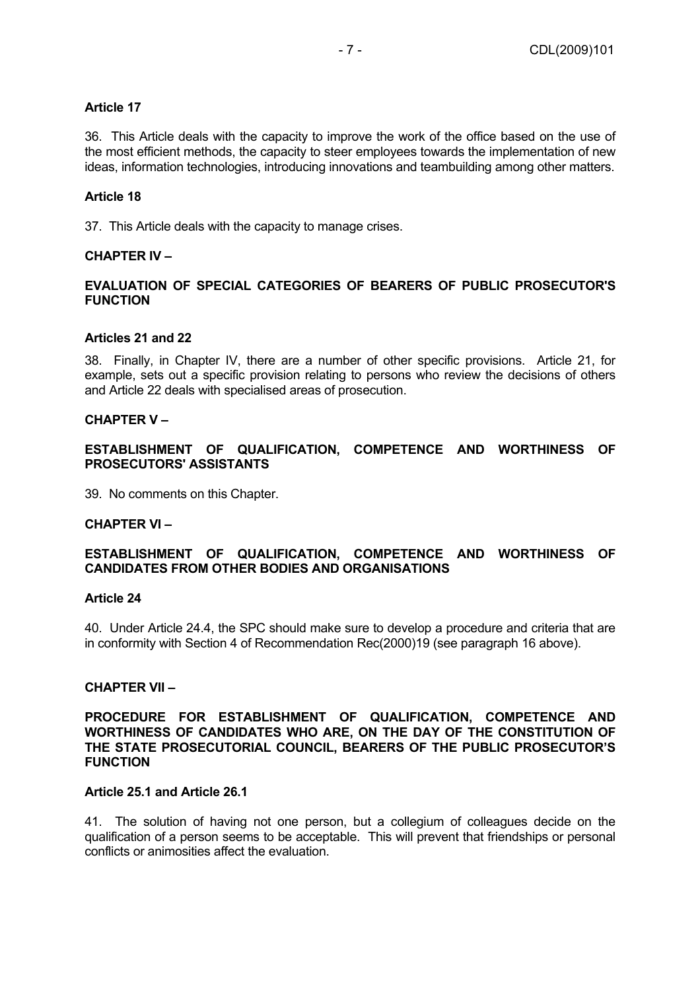# **Article 17**

36. This Article deals with the capacity to improve the work of the office based on the use of the most efficient methods, the capacity to steer employees towards the implementation of new ideas, information technologies, introducing innovations and teambuilding among other matters.

#### **Article 18**

37. This Article deals with the capacity to manage crises.

#### **CHAPTER IV –**

# **EVALUATION OF SPECIAL CATEGORIES OF BEARERS OF PUBLIC PROSECUTOR'S FUNCTION**

#### **Articles 21 and 22**

38. Finally, in Chapter IV, there are a number of other specific provisions. Article 21, for example, sets out a specific provision relating to persons who review the decisions of others and Article 22 deals with specialised areas of prosecution.

#### **CHAPTER V –**

**ESTABLISHMENT OF QUALIFICATION, COMPETENCE AND WORTHINESS OF PROSECUTORS' ASSISTANTS** 

39. No comments on this Chapter.

#### **CHAPTER VI –**

# **ESTABLISHMENT OF QUALIFICATION, COMPETENCE AND WORTHINESS OF CANDIDATES FROM OTHER BODIES AND ORGANISATIONS**

#### **Article 24**

40. Under Article 24.4, the SPC should make sure to develop a procedure and criteria that are in conformity with Section 4 of Recommendation Rec(2000)19 (see paragraph 16 above).

#### **CHAPTER VII –**

#### **PROCEDURE FOR ESTABLISHMENT OF QUALIFICATION, COMPETENCE AND WORTHINESS OF CANDIDATES WHO ARE, ON THE DAY OF THE CONSTITUTION OF THE STATE PROSECUTORIAL COUNCIL, BEARERS OF THE PUBLIC PROSECUTOR'S FUNCTION**

#### **Article 25.1 and Article 26.1**

41. The solution of having not one person, but a collegium of colleagues decide on the qualification of a person seems to be acceptable. This will prevent that friendships or personal conflicts or animosities affect the evaluation.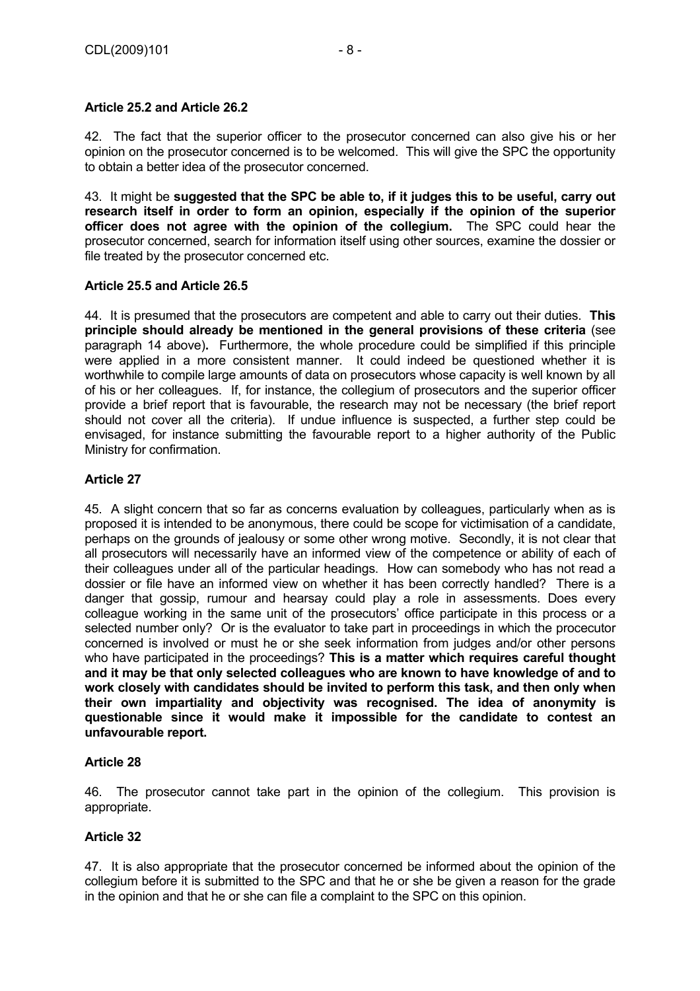# **Article 25.2 and Article 26.2**

42. The fact that the superior officer to the prosecutor concerned can also give his or her opinion on the prosecutor concerned is to be welcomed. This will give the SPC the opportunity to obtain a better idea of the prosecutor concerned.

43. It might be **suggested that the SPC be able to, if it judges this to be useful, carry out research itself in order to form an opinion, especially if the opinion of the superior officer does not agree with the opinion of the collegium.** The SPC could hear the prosecutor concerned, search for information itself using other sources, examine the dossier or file treated by the prosecutor concerned etc.

# **Article 25.5 and Article 26.5**

44. It is presumed that the prosecutors are competent and able to carry out their duties. **This principle should already be mentioned in the general provisions of these criteria** (see paragraph 14 above)**.** Furthermore, the whole procedure could be simplified if this principle were applied in a more consistent manner. It could indeed be questioned whether it is worthwhile to compile large amounts of data on prosecutors whose capacity is well known by all of his or her colleagues. If, for instance, the collegium of prosecutors and the superior officer provide a brief report that is favourable, the research may not be necessary (the brief report should not cover all the criteria). If undue influence is suspected, a further step could be envisaged, for instance submitting the favourable report to a higher authority of the Public Ministry for confirmation.

# **Article 27**

45. A slight concern that so far as concerns evaluation by colleagues, particularly when as is proposed it is intended to be anonymous, there could be scope for victimisation of a candidate, perhaps on the grounds of jealousy or some other wrong motive. Secondly, it is not clear that all prosecutors will necessarily have an informed view of the competence or ability of each of their colleagues under all of the particular headings. How can somebody who has not read a dossier or file have an informed view on whether it has been correctly handled? There is a danger that gossip, rumour and hearsay could play a role in assessments. Does every colleague working in the same unit of the prosecutors' office participate in this process or a selected number only? Or is the evaluator to take part in proceedings in which the procecutor concerned is involved or must he or she seek information from judges and/or other persons who have participated in the proceedings? **This is a matter which requires careful thought and it may be that only selected colleagues who are known to have knowledge of and to work closely with candidates should be invited to perform this task, and then only when their own impartiality and objectivity was recognised. The idea of anonymity is questionable since it would make it impossible for the candidate to contest an unfavourable report.**

# **Article 28**

46. The prosecutor cannot take part in the opinion of the collegium. This provision is appropriate.

# **Article 32**

47. It is also appropriate that the prosecutor concerned be informed about the opinion of the collegium before it is submitted to the SPC and that he or she be given a reason for the grade in the opinion and that he or she can file a complaint to the SPC on this opinion.